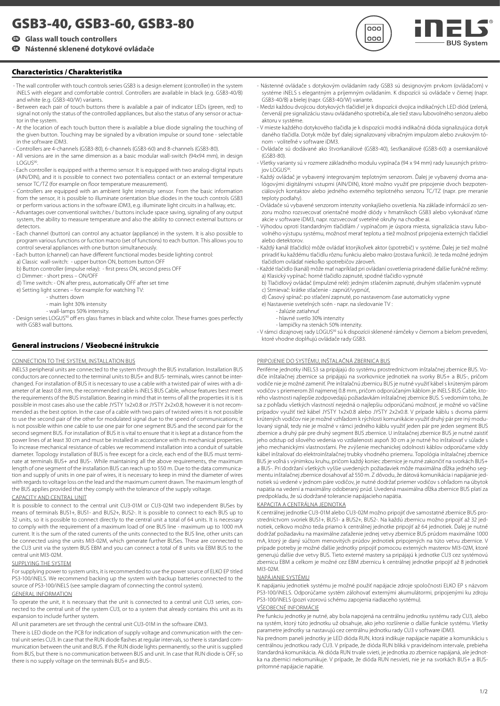# **GSB3-40, GSB3-60, GSB3-80**

# **EN Glass wall touch controllers**

# **SK Nástenné sklenené dotykové ovládače**

# **Characteristics / Charakteristika**

- The wall controller with touch controls series GSB3 is a design element (controller) in the system iNELS with elegant and comfortable control. Controllers are available in black (e.g. GSB3-40/B) and white (e.g. GSB3-40/W) variants.
- Between each pair of touch buttons there is available a pair of indicator LEDs (green, red) to signal not only the status of the controlled appliances, but also the status of any sensor or actuator in the system.
- At the location of each touch button there is available a blue diode signaling the touching of the given button. Touching may be signaled by a vibration impulse or sound tone - selectable in the software iDM3.
- Controllers are 4-channels (GSB3-80), 6-channels (GSB3-60) and 8-channels (GSB3-80).
- All versions are in the same dimension as a basic modular wall-switch (94x94 mm), in design LOGUS<sup>90</sup>.
- Each controller is equipped with a thermo sensor. It is equipped with two analog-digital inputs (AIN/DIN), and it is possible to connect two potentialless contact or an external temperature sensor TC/TZ (for example on floor temperature measurement).
- Controllers are equipped with an ambient light intensity sensor. From the basic information from the sensor, it is possible to illuminate orientation blue diodes in the touch controls GSB3 or perform various actions in the software iDM3, e.g. illuminate light circuits in a hallway, etc.
- Advantages over conventional switches / buttons include space saving, signaling of any output system, the ability to measure temperature and also the ability to connect external buttons or detectors.
- Each channel (button) can control any actuator (appliance) in the system. It is also possible to program various functions or fuction macro (set of functions) to each button. This allows you to control several appliances with one button simultaneously.
- Each button (channel) can have different functional modes beside lighting control:
- a) Classic wall-switch: upper button ON, bottom button OFF b) Button controller (impulse relay): - first press ON, second press OFF
- c) Dimmer: short press ON/OFF

d) Time switch: - ON after press, automatically OFF after set time

- e) Setting light scenes for example: for watching TV:
	- .<br>- shutters down
	- main light 30% intensity
	- wall-lamps 50% intensity.

- Design series LOGUS<sup>90</sup> off ers glass frames in black and white color. These frames goes perfectly with GSB3 wall buttons.

# **General instrucions / Všeobecné inštrukcie**

#### CONNECTION TO THE SYSTEM, INSTALLATION BUS

iNELS3 peripheral units are connected to the system through the BUS installation. Installation BUS conductors are connected to the terminal units to BUS+ and BUS- terminals, wires cannot be interchanged. For installation of BUS it is necessary to use a cable with a twisted pair of wires with a diameter of at least 0.8 mm, the recommended cable is iNELS BUS Cable, whose features best meet the requirements of the BUS installation. Bearing in mind that in terms of all the properties iit is it is possible in most cases also use the cable JYSTY 1x2x0.8 or JYSTY 2x2x0.8, however it is not recommended as the best option. In the case of a cable with two pairs of twisted wires it is not possible to use the second pair of the other for modulated signal due to the speed of communications; it is not possible within one cable to use one pair for one segment BUS and the second pair for the second segment BUS. For installation of BUS it is vital to ensure that it is kept at a distance from the power lines of at least 30 cm and must be installed in accordance with its mechanical properties. To increase mechanical resistance of cables we recommend installation into a conduit of suitable diameter. Topology installation of BUS is free except for a circle, each end of the BUS must terminate at terminals BUS+ and BUS-. While maintaining all the above requirements, the maximum length of one segment of the installation BUS can reach up to 550 m. Due to the data communication and supply of units in one pair of wires, it is necessary to keep in mind the diameter of wires with regards to voltage loss on the lead and the maximum current drawn. The maximum length of the BUS applies provided that they comply with the tolerance of the supply voltage.

## CAPACITY AND CENTRAL UNIT

It is possible to connect to the central unit CU3-01M or CU3-02M two independent BUSes by means of terminals BUS1+, BUS1- and BUS2+, BUS2-. It is possible to connect to each BUS up to 32 units, so it is possible to connect directly to the central unit a total of 64 units. It is necessary to comply with the requirement of a maximum load of one BUS line - maximum up to 1000 mA current. It is the sum of the rated currents of the units connected to the BUS line, other units can be connected using the units MI3-02M, which generate further BUSes. These are connected to the CU3 unit via the system BUS EBM and you can connect a total of 8 units via EBM BUS to the central unit MI3-02M.

### SUPPLYING THE SYSTEM

For supplying power to system units, it is recommended to use the power source of ELKO EP titled PS3-100/iNELS. We recommend backing up the system with backup batteries connected to the source of PS3-100/iNELS (see sample diagram of connecting the control system).

#### GENERAL INFORMATION

To operate the unit, it is necessary that the unit is connected to a central unit CU3 series, connected to the central unit of the system CU3, or to a system that already contains this unit as its expansion to include further system.

All unit parameters are set through the central unit CU3-01M in the software iDM3.

There is LED diode on the PCB for indication of supply voltage and communication with the central unit series CU3. In case that the RUN diode flashes at regular intervals, so there is standard communication between the unit and BUS. If the RUN diode lights permanently, so the unit is supplied from BUS, but there is no communication between BUS and unit. In case that RUN diode is OFF, so there is no supply voltage on the terminals BUS+ and BUS-

- Nástenné ovládače s dotykovým ovládaním rady GSB3 sú designovým prvkom (ovládačom) v systéme iNELS s elegantným a príjemným ovládaním. K dispozícii sú ovládače v čiernej (napr. GSB3-40/B) a bielej (napr. GSB3-40/W) variante.

 $000$  $000$ 

- Medzi každou dvojicou dotykových tlačidiel je k dispozícii dvojica indikačných LED diód (zelená, červená) pre signalizáciu stavu ovládaného spotrebiča, ale tiež stavu ľubovolného senzoru alebo aktoru v systéme.
- V mieste každého dotykového tlačidla je k dispozícii modrá indikačná dióda signalizujúca dotyk daného tlačidla. Dotyk môže byť ďalej signalizovaný vibračným impulzom alebo zvukovým tónom - voliteľné v software iDM3.
- Ovládače sú dodávané ako štvorkanálové (GSB3-40), šesťkanálové (GSB3-60) a osemkanálové (GSB3-80).
- Všetky varianty sú v rozmere základného modulu vypínača (94 x 94 mm) rady luxusných prístroiov LOGUS<sup>9</sup>
- Každý ovládač je vybavený integrovaným teplotným senzorom. Ďalej je vybavený dvoma analógovými digitálnymi vstupmi (AIN/DIN), ktoré možno využiť pre pripojenie dvoch bezpotenciálových kontaktov alebo jedného externého teplotného senzoru TC/TZ (napr. pre meranie teploty podlahy).
- Ovládače sú vybavené senzorom intenzity vonkajšieho osvetlenia. Na základe informácií zo senzoru možno rozsvecovať orientačné modré diódy v hmatníkoch GSB3 alebo vykonávať rôzne akcie v software iDM3, napr. rozsvecovať svetelné okruhy na chodbe ai.
- Výhodou oproti štandardným tlačidlám / vypínačom je úspora miesta, signalizácia stavu ľubovolného výstupu systému, možnosť merať teplotu a tiež možnosť pripojenia externých tlačidiel alebo detektorov.
- Každý kanál (tlačidlo) môže ovládať ktorýkoľvek aktor (spotrebič) v systéme. Ďalej je tiež možné priradiť ku každému tlačidlu rôznu funkciu alebo makro (zostava funkcií). Je teda možné jedným tlačidlom ovládať niekoľko spotrebičov zároveň.
- Každé tlačidlo (kanál) môže mať napríklad pri ovládaní osvetlenia priradené ďalšie funkčné režimy: a) Klasický vypínač: horné tlačidlo zapnuté, spodné tlačidlo vypnuté
- b) Tlačidlový ovládač (impulzné relé): jedným stlačením zapnuté, druhým stlačením vypnuté c) Stmievač: krátke stlačenie - zapnúť/vypnúť,
- d) Časový spínač: po stlačení zapnuté, po nastavenom čase automaticky vypne
- e) Nastavenie svetelných scén napr. na sledovanie TV :
	- žalúzie zatiahnuť
	- hlavné svetlo 30% intenzity
	- lampičky na stenách 50% intenzity.

- V rámci dizajnovej rady LOGUS<sup>90</sup> sú k dispozícii sklenené rámčeky v čiernom a bielom prevedení, ktoré vhodne doplňujú ovládače rady GSB3.

## PRIPOJENIE DO SYSTÉMU, INŠTALAČNÁ ZBERNICA BUS

Periférne jednotky iNELS3 sa pripájajú do systému prostredníctvom inštalačnej zbernice BUS. Vodiče inštalačnej zbernice sa pripájajú na svorkovnice jednotiek na svorky BUS+ a BUS-, pričom vodiče nie je možné zameniť. Pre inštalačnú zbernicu BUS je nutné využiť kábel s krúteným párom vodičov s priemerom žíl najmenej 0.8 mm, pričom odporúčaným káblom je iNELS BUS Cable, ktorého vlastnosti najlepšie zodpovedajú požiadavkám inštalačnej zbernice BUS. S vedomím toho, že sa z pohľadu všetkých vlastností nejedná o najlepšiu odporúčanú možnosť, je možné vo väčšine prípadov využiť tiež kábel JYSTY 1x2x0.8 alebo JYSTY 2x2x0.8. V prípade káblu s dvoma pármi krútených vodičov nie je možné vzhľadom k rýchlosti komunikácie využiť druhý pár pre iný modulovaný signál, tedy nie je možné v rámci jedného káblu využiť jeden pár pre jeden segment BUS zbernice a druhý pár pre druhý segment BUS zbernice. U inštalačnej zbernice BUS je nutné zaistiť jeho odstup od silového vedenia vo vzdialenosti aspoň 30 cm a je nutné ho inštalovať v súlade s jeho mechanickými vlastnosťami. Pre zvýšenie mechanickej odolnosti káblov odporúčame vždy kábel inštalovať do elektroinštalačnej trubky vhodného priemeru. Topológia inštalačnej zbernice BUS je voľná s výnimkou kruhu, pričom každý koniec zbernice je nutné zakončiť na svorkách BUS+ a BUS-. Pri dodržaní všetkých vyššie uvedených požiadaviek môže maximálna dĺžka jedného segmentu inštalačnej zbernice dosahovať až 550 m. Z dôvodu, že dátová komunikácia i napájanie jednotiek sú vedené v jednom páre vodičov, je nutné dodržať priemer vodičov s ohľadom na úbytok napätia na vedení a maximálny odoberaný prúd. Uvedená maximálna dĺžka zbernice BUS platí za predpokladu, že sú dodržané tolerancie napájacieho napätia.

#### KAPACITA A CENTRÁLNA JEDNOTKA

K centrálnej jednotke CU3-01M alebo CU3-02M možno pripojiť dve samostatné zbernice BUS prostredníctvom svoriek BUS1+, BUS1- a BUS2+, BUS2-. Na každú zbernicu možno pripojiť až 32 jednotiek, celkovo možno teda priamo k centrálnej jednotke pripojiť až 64 jednotiek. Ďalej je nutné dodržať požiadavku na maximálne zaťaženie jednej vetvy zbernice BUS prúdom maximálne 1000 mA, ktorý je daný súčtom menovitých prúdov jednotiek pripojených na túto vetvu zbernice. V prípade potreby je možné ďalšie jednotky pripojiť pomocou externých masterov MI3-02M, ktoré generujú ďalšie dve vetvy BUS. Tieto externé mastery sa pripájajú k jednotke CU3 cez systémovú zbernicu EBM a celkom je možné cez EBM zbernicu k centrálnej jednotke pripojiť až 8 jednotiek MI3-02M.

## NAPÁJANIE SYSTÉMU

K napájaniu jednotiek systému je možné použiť napájacie zdroje spoločnosti ELKO EP s názvom PS3-100/iNELS. Odporúčame systém zálohovať externými akumulátormi, pripojenými ku zdroju PS3-100/iNELS (pozri vzorovú schému zapojenia riadiaceho systému).

## VŠEOBECNÉ INFORMÁCIE

Pre funkciu jednotky je nutné, aby bola napojená na centrálnu jednotku systému rady CU3, alebo na systém, ktorý túto jednotku už obsahuje, ako jeho rozšírenie o ďalšie funkcie systému. Všetky parametre jednotky sa nastavujú cez centrálnu jednotku rady CU3 v software iDM3.

Na prednom paneli jednotky je LED dióda RUN, ktorá indikuje napájacie napätie a komunikáciu s centrálnou jednotkou rady CU3. V prípade, že dióda RUN bliká v pravidelnom intervale, prebieha štandardná komunikácia. Ak dióda RUN trvale svieti, je jednotka zo zbernice napájaná, ale jednotka na zbernici nekomunikuje. V prípade, že dióda RUN nesvieti, nie je na svorkách BUS+ a BUSprítomné napájacie napätie.